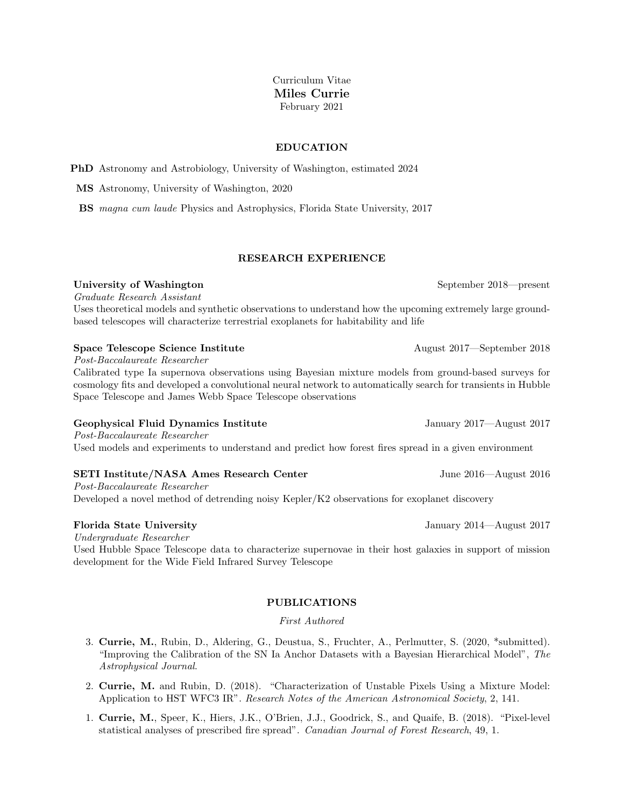# Curriculum Vitae Miles Currie February 2021

# EDUCATION

PhD Astronomy and Astrobiology, University of Washington, estimated 2024

MS Astronomy, University of Washington, 2020

BS magna cum laude Physics and Astrophysics, Florida State University, 2017

# RESEARCH EXPERIENCE

# University of Washington September 2018—present

Graduate Research Assistant

Uses theoretical models and synthetic observations to understand how the upcoming extremely large groundbased telescopes will characterize terrestrial exoplanets for habitability and life

### Space Telescope Science Institute August 2017—September 2018

Post-Baccalaureate Researcher

Calibrated type Ia supernova observations using Bayesian mixture models from ground-based surveys for cosmology fits and developed a convolutional neural network to automatically search for transients in Hubble Space Telescope and James Webb Space Telescope observations

# Geophysical Fluid Dynamics Institute January 2017—August 2017

Post-Baccalaureate Researcher Used models and experiments to understand and predict how forest fires spread in a given environment

# SETI Institute/NASA Ames Research Center June 2016—August 2016

Post-Baccalaureate Researcher Developed a novel method of detrending noisy Kepler/K2 observations for exoplanet discovery

Undergraduate Researcher

Used Hubble Space Telescope data to characterize supernovae in their host galaxies in support of mission development for the Wide Field Infrared Survey Telescope

### PUBLICATIONS

### First Authored

- 3. Currie, M., Rubin, D., Aldering, G., Deustua, S., Fruchter, A., Perlmutter, S. (2020, \*submitted). "Improving the Calibration of the SN Ia Anchor Datasets with a Bayesian Hierarchical Model", The Astrophysical Journal.
- 2. Currie, M. and Rubin, D. (2018). "Characterization of Unstable Pixels Using a Mixture Model: Application to HST WFC3 IR". Research Notes of the American Astronomical Society, 2, 141.
- 1. Currie, M., Speer, K., Hiers, J.K., O'Brien, J.J., Goodrick, S., and Quaife, B. (2018). "Pixel-level statistical analyses of prescribed fire spread". Canadian Journal of Forest Research, 49, 1.

Florida State University January 2014—August 2017